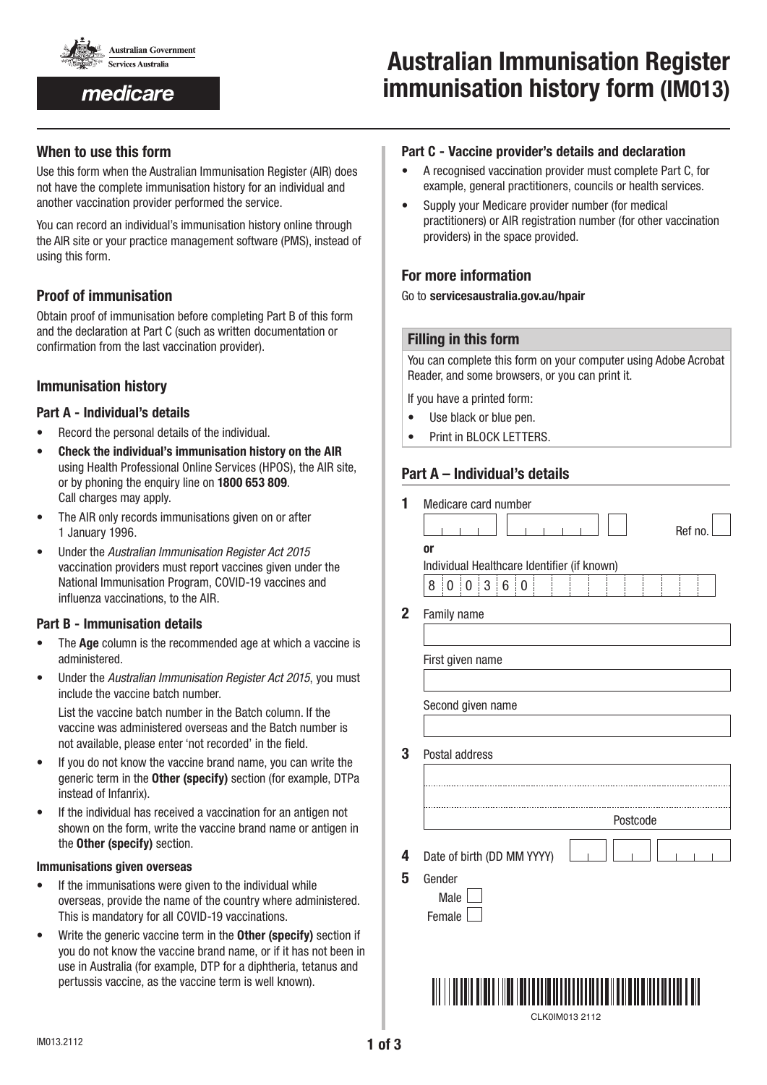

medicare

# Australian Immunisation Register immunisation history form (IM013)

# When to use this form

Use this form when the Australian Immunisation Register (AIR) does not have the complete immunisation history for an individual and another vaccination provider performed the service.

You can record an individual's immunisation history online through the AIR site or your practice management software (PMS), instead of using this form.

# Proof of immunisation

Obtain proof of immunisation before completing Part B of this form and the declaration at Part C (such as written documentation or confirmation from the last vaccination provider).

# Immunisation history

#### Part A - Individual's details

- Record the personal details of the individual.
- Check the individual's immunisation history on the AIR using Health Professional Online Services (HPOS), the AIR site, or by phoning the enquiry line on 1800 653 809. Call charges may apply.
- The AIR only records immunisations given on or after 1 January 1996.
- Under the *Australian Immunisation Register Act 2015* vaccination providers must report vaccines given under the National Immunisation Program, COVID-19 vaccines and influenza vaccinations, to the AIR.

#### Part B - Immunisation details

- The **Age** column is the recommended age at which a vaccine is administered.
- Under the *Australian Immunisation Register Act 2015*, you must include the vaccine batch number.

List the vaccine batch number in the Batch column. If the vaccine was administered overseas and the Batch number is not available, please enter 'not recorded' in the field.

- If you do not know the vaccine brand name, you can write the generic term in the Other (specify) section (for example, DTPa instead of Infanrix).
- If the individual has received a vaccination for an antigen not shown on the form, write the vaccine brand name or antigen in the Other (specify) section.

#### Immunisations given overseas

- If the immunisations were given to the individual while overseas, provide the name of the country where administered. This is mandatory for all COVID-19 vaccinations.
- Write the generic vaccine term in the Other (specify) section if you do not know the vaccine brand name, or if it has not been in use in Australia (for example, DTP for a diphtheria, tetanus and pertussis vaccine, as the vaccine term is well known).

#### Part C - Vaccine provider's details and declaration

- A recognised vaccination provider must complete Part C, for example, general practitioners, councils or health services.
- Supply your Medicare provider number (for medical practitioners) or AIR registration number (for other vaccination providers) in the space provided.

# For more information

#### Go to servicesaustralia.gov.au/hpair

#### Filling in this form

You can complete this form on your computer using Adobe Acrobat Reader, and some browsers, or you can print it.

If you have a printed form:

- Use black or blue pen.
- Print in BLOCK LETTERS.

# Part A – Individual's details

| 1              | Medicare card number                                                                                |
|----------------|-----------------------------------------------------------------------------------------------------|
|                | Ref no<br><b>or</b>                                                                                 |
|                | Individual Healthcare Identifier (if known)                                                         |
|                | $\sqrt{3}$<br>$6\phantom{1}$<br>$\boldsymbol{0}$<br>$\mathbf 0$<br>$\vdots$ 0<br>8<br>ĵ.<br>Ť,<br>ţ |
|                |                                                                                                     |
| $\overline{2}$ | Family name                                                                                         |
|                |                                                                                                     |
|                | First given name                                                                                    |
|                |                                                                                                     |
|                |                                                                                                     |
|                | Second given name                                                                                   |
|                |                                                                                                     |
| 3              | Postal address                                                                                      |
|                |                                                                                                     |
|                |                                                                                                     |
|                | Postcode                                                                                            |
|                |                                                                                                     |
| 4              | Date of birth (DD MM YYYY)                                                                          |
| 5              | Gender                                                                                              |
|                | Male                                                                                                |
|                | Female                                                                                              |
|                |                                                                                                     |
|                |                                                                                                     |
|                |                                                                                                     |
|                |                                                                                                     |
|                |                                                                                                     |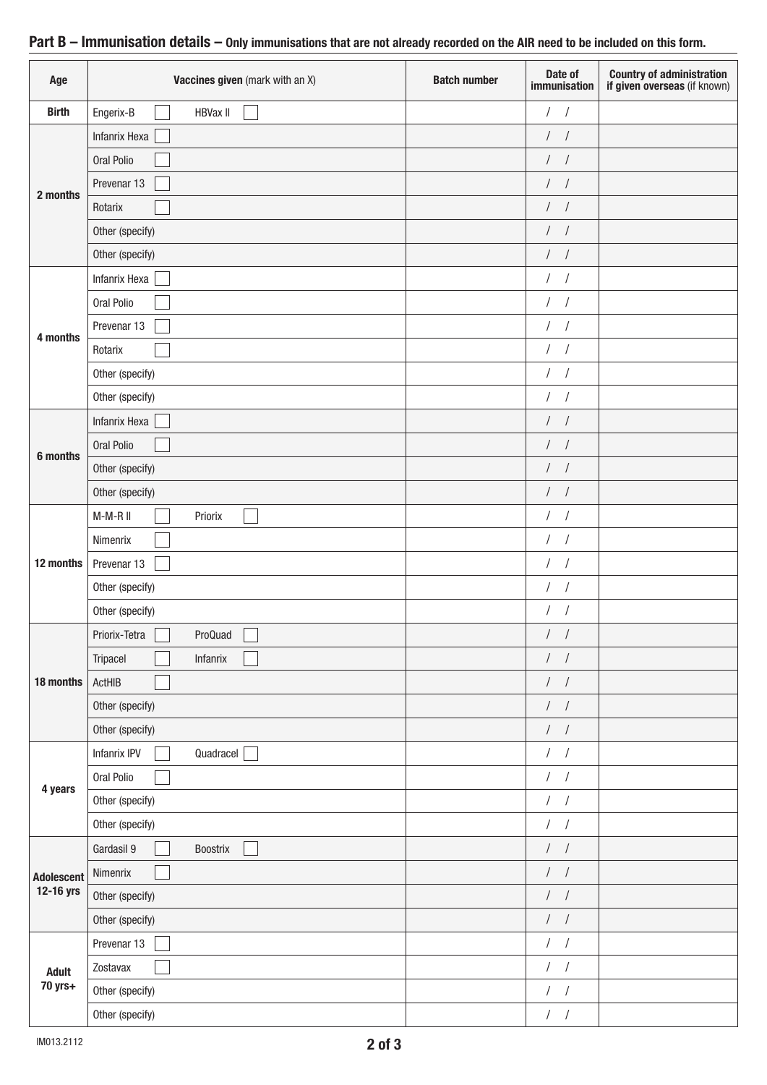| Age               | Vaccines given (mark with an X) | <b>Batch number</b> | Date of<br>immunisation | <b>Country of administration<br/>if given overseas</b> (if known) |
|-------------------|---------------------------------|---------------------|-------------------------|-------------------------------------------------------------------|
| <b>Birth</b>      | <b>HBVax II</b><br>Engerix-B    |                     | $/$ /                   |                                                                   |
|                   | <b>Infanrix Hexa</b>            |                     | $\left  \quad \right $  |                                                                   |
|                   | Oral Polio                      |                     | $\left  \quad \right $  |                                                                   |
| 2 months          | Prevenar 13                     |                     | $\left  \quad \right $  |                                                                   |
|                   | Rotarix                         |                     | $\left  \quad \right $  |                                                                   |
|                   | Other (specify)                 |                     | $\left  \quad \right $  |                                                                   |
|                   | Other (specify)                 |                     | $/$ /                   |                                                                   |
|                   | Infanrix Hexa                   |                     | $/$ /                   |                                                                   |
|                   | Oral Polio                      |                     | $\left  \quad \right $  |                                                                   |
| 4 months          | Prevenar 13                     |                     | $\frac{1}{2}$           |                                                                   |
|                   | Rotarix                         |                     | $/$ /                   |                                                                   |
|                   | Other (specify)                 |                     | $\frac{1}{2}$           |                                                                   |
|                   | Other (specify)                 |                     | $/$ /                   |                                                                   |
|                   | Infanrix Hexa                   |                     | $\frac{1}{2}$           |                                                                   |
| 6 months          | Oral Polio                      |                     | $\frac{1}{2}$           |                                                                   |
|                   | Other (specify)                 |                     | $\frac{1}{2}$           |                                                                   |
|                   | Other (specify)                 |                     | $/$ /                   |                                                                   |
|                   | M-M-R II<br>Priorix             |                     | $/$ /                   |                                                                   |
|                   | Nimenrix                        |                     | $/$ /                   |                                                                   |
| 12 months         | Prevenar 13                     |                     | $/$ /                   |                                                                   |
|                   | Other (specify)                 |                     | $\left  \quad \right $  |                                                                   |
|                   | Other (specify)                 |                     | $\left  \quad \right $  |                                                                   |
|                   | ProQuad<br>Priorix-Tetra        |                     | $\frac{1}{2}$           |                                                                   |
|                   | Tripacel<br>Infanrix            |                     | $\left  \quad \right $  |                                                                   |
| 18 months         | ActHIB                          |                     | $/$ /                   |                                                                   |
|                   | Other (specify)                 |                     | $/$ /                   |                                                                   |
|                   | Other (specify)                 |                     | $\frac{1}{2}$           |                                                                   |
|                   | Infanrix IPV<br>Quadracel       |                     | $\frac{1}{2}$           |                                                                   |
| 4 years           | Oral Polio                      |                     | $/$ /                   |                                                                   |
|                   | Other (specify)                 |                     | $\left  \quad \right $  |                                                                   |
|                   | Other (specify)                 |                     | $/$ /                   |                                                                   |
|                   | Gardasil 9<br>Boostrix          |                     | $/$ /                   |                                                                   |
| <b>Adolescent</b> | Nimenrix                        |                     | $/$ /                   |                                                                   |
| 12-16 yrs         | Other (specify)                 |                     | $/$ /                   |                                                                   |
|                   | Other (specify)                 |                     | $/$ /                   |                                                                   |
|                   | Prevenar 13                     |                     | $/$ /                   |                                                                   |
| <b>Adult</b>      | Zostavax                        |                     | $/$ /                   |                                                                   |
| 70 yrs+           | Other (specify)                 |                     | $/$ /                   |                                                                   |
|                   | Other (specify)                 |                     | $/$ /                   |                                                                   |

# Part B – Immunisation details – Only immunisations that are not already recorded on the AIR need to be included on this form.